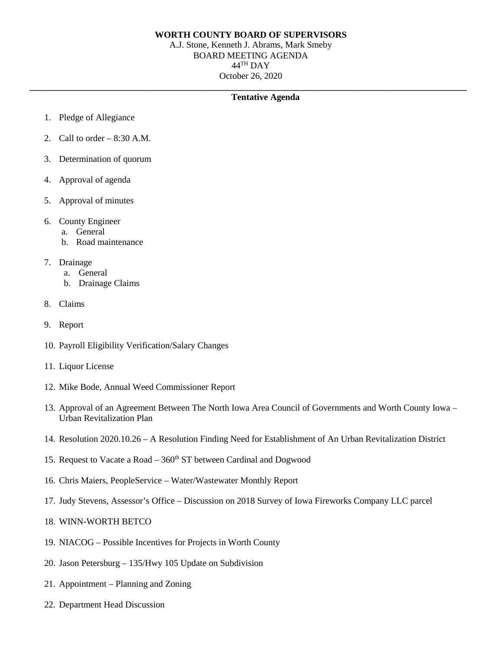## **WORTH COUNTY BOARD OF SUPERVISORS**

A.J. Stone, Kenneth J. Abrams, Mark Smeby BOARD MEETING AGENDA 44TH DAY October 26, 2020

## **\_\_\_\_\_\_\_\_\_\_\_\_\_\_\_\_\_\_\_\_\_\_\_\_\_\_\_\_\_\_\_\_\_\_\_\_\_\_\_\_\_\_\_\_\_\_\_\_\_\_\_\_\_\_\_\_\_\_\_\_\_\_\_\_\_\_\_\_\_\_\_\_\_\_\_\_\_\_\_\_\_\_\_\_\_\_\_\_\_\_\_\_\_\_\_\_\_ Tentative Agenda**

- 1. Pledge of Allegiance
- 2. Call to order  $-8:30$  A.M.
- 3. Determination of quorum
- 4. Approval of agenda
- 5. Approval of minutes
- 6. County Engineer
	- a. General
	- b. Road maintenance
- 7. Drainage
	- a. General
	- b. Drainage Claims
- 8. Claims
- 9. Report
- 10. Payroll Eligibility Verification/Salary Changes
- 11. Liquor License
- 12. Mike Bode, Annual Weed Commissioner Report
- 13. Approval of an Agreement Between The North Iowa Area Council of Governments and Worth County Iowa Urban Revitalization Plan
- 14. Resolution 2020.10.26 A Resolution Finding Need for Establishment of An Urban Revitalization District
- 15. Request to Vacate a Road  $-360<sup>th</sup>$  ST between Cardinal and Dogwood
- 16. Chris Maiers, PeopleService Water/Wastewater Monthly Report
- 17. Judy Stevens, Assessor's Office Discussion on 2018 Survey of Iowa Fireworks Company LLC parcel
- 18. WINN-WORTH BETCO
- 19. NIACOG Possible Incentives for Projects in Worth County
- 20. Jason Petersburg 135/Hwy 105 Update on Subdivision
- 21. Appointment Planning and Zoning
- 22. Department Head Discussion